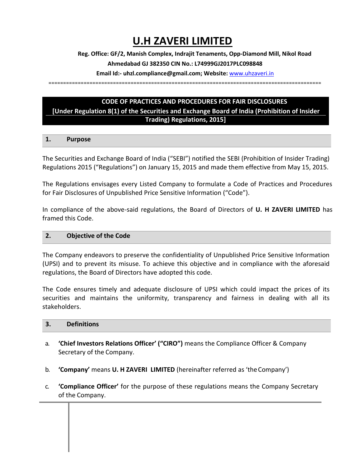# **U.H ZAVERI LIMITED**

**Reg. Office: GF/2, Manish Complex, Indrajit Tenaments, Opp-Diamond Mill, Nikol Road** 

# **Ahmedabad GJ 382350 CIN No.: L74999GJ2017PLC098848**

**Email Id:- uhzl.compliance@gmail.com; Website:** [www.uhzaveri.i](http://www.uhzaveri./)n

=============================================================================================

# **CODE OF PRACTICES AND PROCEDURES FOR FAIR DISCLOSURES**

**[Under Regulation 8(1) of the Securities and Exchange Board of India (Prohibition of Insider Trading) Regulations, 2015]**

# **1. Purpose**

The Securities and Exchange Board of India ("SEBI") notified the SEBI (Prohibition of Insider Trading) Regulations 2015 ("Regulations") on January 15, 2015 and made them effective from May 15, 2015.

The Regulations envisages every Listed Company to formulate a Code of Practices and Procedures for Fair Disclosures of Unpublished Price Sensitive Information ("Code").

In compliance of the above-said regulations, the Board of Directors of **U. H ZAVERI LIMITED** has framed this Code.

# **2. Objective of the Code**

The Company endeavors to preserve the confidentiality of Unpublished Price Sensitive Information (UPSI) and to prevent its misuse. To achieve this objective and in compliance with the aforesaid regulations, the Board of Directors have adopted this code.

The Code ensures timely and adequate disclosure of UPSI which could impact the prices of its securities and maintains the uniformity, transparency and fairness in dealing with all its stakeholders.

# **3. Definitions**

- a. **'Chief Investors Relations Officer' ("CIRO")** means the Compliance Officer & Company Secretary of the Company.
- b. **'Company'** means **U. H ZAVERI LIMITED** (hereinafter referred as 'theCompany')
- c. **'Compliance Officer'** for the purpose of these regulations means the Company Secretary of the Company.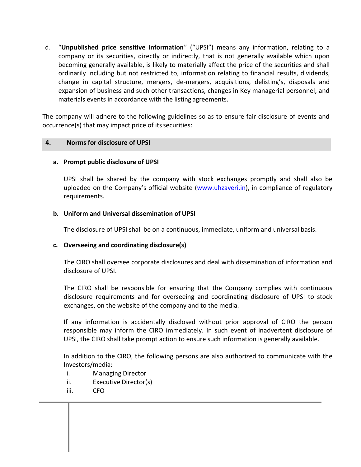d. "**Unpublished price sensitive information**" ("UPSI") means any information, relating to a company or its securities, directly or indirectly, that is not generally available which upon becoming generally available, is likely to materially affect the price of the securities and shall ordinarily including but not restricted to, information relating to financial results, dividends, change in capital structure, mergers, de-mergers, acquisitions, delisting's, disposals and expansion of business and such other transactions, changes in Key managerial personnel; and materials events in accordance with the listing agreements.

The company will adhere to the following guidelines so as to ensure fair disclosure of events and occurrence(s) that may impact price of its securities:

# **4. Norms for disclosure of UPSI**

#### **a. Prompt public disclosure of UPSI**

UPSI shall be shared by the company with stock exchanges promptly and shall also be uploaded on the Company's official website ([www.uhzaveri.i](http://www.uhzaveri./)n), in compliance of regulatory requirements.

#### **b. Uniform and Universal dissemination of UPSI**

The disclosure of UPSI shall be on a continuous, immediate, uniform and universal basis.

#### **c. Overseeing and coordinating disclosure(s)**

The CIRO shall oversee corporate disclosures and deal with dissemination of information and disclosure of UPSI.

The CIRO shall be responsible for ensuring that the Company complies with continuous disclosure requirements and for overseeing and coordinating disclosure of UPSI to stock exchanges, on the website of the company and to the media.

If any information is accidentally disclosed without prior approval of CIRO the person responsible may inform the CIRO immediately. In such event of inadvertent disclosure of UPSI, the CIRO shall take prompt action to ensure such information is generally available.

In addition to the CIRO, the following persons are also authorized to communicate with the Investors/media:

- i. Managing Director
- ii. Executive Director(s)
- iii. CFO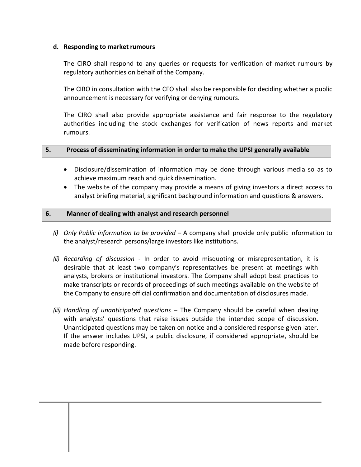### **d. Responding to market rumours**

The CIRO shall respond to any queries or requests for verification of market rumours by regulatory authorities on behalf of the Company.

The CIRO in consultation with the CFO shall also be responsible for deciding whether a public announcement is necessary for verifying or denying rumours.

The CIRO shall also provide appropriate assistance and fair response to the regulatory authorities including the stock exchanges for verification of news reports and market rumours.

#### **5. Process of disseminating information in order to make the UPSI generally available**

- Disclosure/dissemination of information may be done through various media so as to achieve maximum reach and quick dissemination.
- The website of the company may provide a means of giving investors a direct access to analyst briefing material, significant background information and questions & answers.

#### **6. Manner of dealing with analyst and research personnel**

- *(i) Only Public information to be provided*  A company shall provide only public information to the analyst/research persons/large investors like institutions.
- *(ii) Recording of discussion*  In order to avoid misquoting or misrepresentation, it is desirable that at least two company's representatives be present at meetings with analysts, brokers or institutional investors. The Company shall adopt best practices to make transcripts or records of proceedings of such meetings available on the website of the Company to ensure official confirmation and documentation of disclosures made.
- *(iii) Handling of unanticipated questions*  The Company should be careful when dealing with analysts' questions that raise issues outside the intended scope of discussion. Unanticipated questions may be taken on notice and a considered response given later. If the answer includes UPSI, a public disclosure, if considered appropriate, should be made before responding.